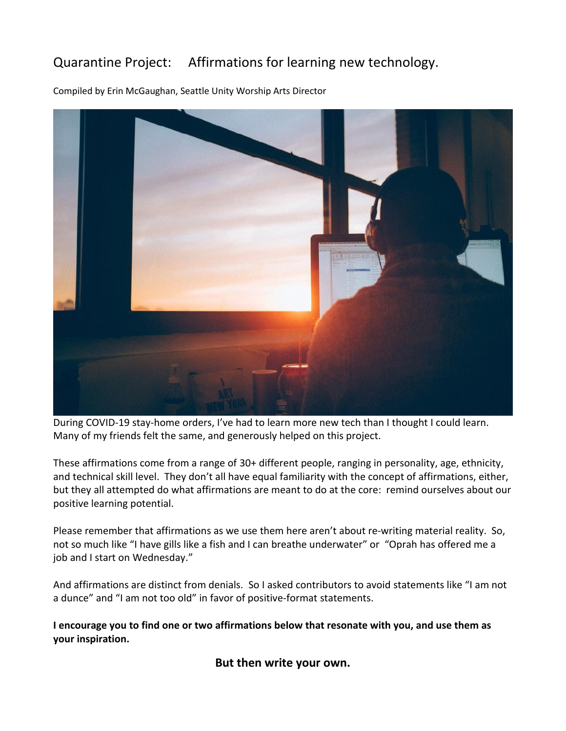## Quarantine Project: Affirmations for learning new technology.

Compiled by Erin McGaughan, Seattle Unity Worship Arts Director



During COVID-19 stay-home orders, I've had to learn more new tech than I thought I could learn. Many of my friends felt the same, and generously helped on this project.

These affirmations come from a range of 30+ different people, ranging in personality, age, ethnicity, and technical skill level. They don't all have equal familiarity with the concept of affirmations, either, but they all attempted do what affirmations are meant to do at the core: remind ourselves about our positive learning potential.

Please remember that affirmations as we use them here aren't about re-writing material reality. So, not so much like "I have gills like a fish and I can breathe underwater" or "Oprah has offered me a job and I start on Wednesday."

And affirmations are distinct from denials. So I asked contributors to avoid statements like "I am not a dunce" and "I am not too old" in favor of positive-format statements.

**I encourage you to find one or two affirmations below that resonate with you, and use them as your inspiration.** 

**But then write your own.**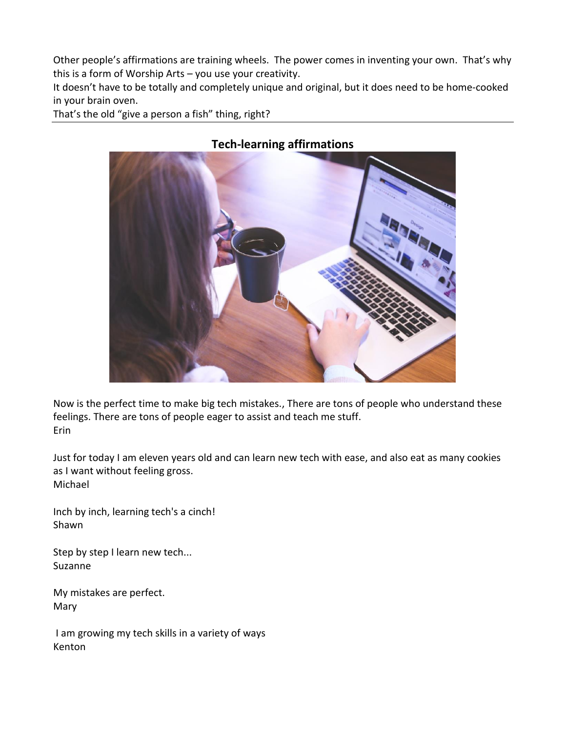Other people's affirmations are training wheels. The power comes in inventing your own. That's why this is a form of Worship Arts – you use your creativity.

It doesn't have to be totally and completely unique and original, but it does need to be home-cooked in your brain oven.

That's the old "give a person a fish" thing, right?



## **Tech-learning affirmations**

Now is the perfect time to make big tech mistakes., There are tons of people who understand these feelings. There are tons of people eager to assist and teach me stuff. Erin

Just for today I am eleven years old and can learn new tech with ease, and also eat as many cookies as I want without feeling gross. Michael

Inch by inch, learning tech's a cinch! Shawn

Step by step I learn new tech... Suzanne

My mistakes are perfect. Mary

I am growing my tech skills in a variety of ways Kenton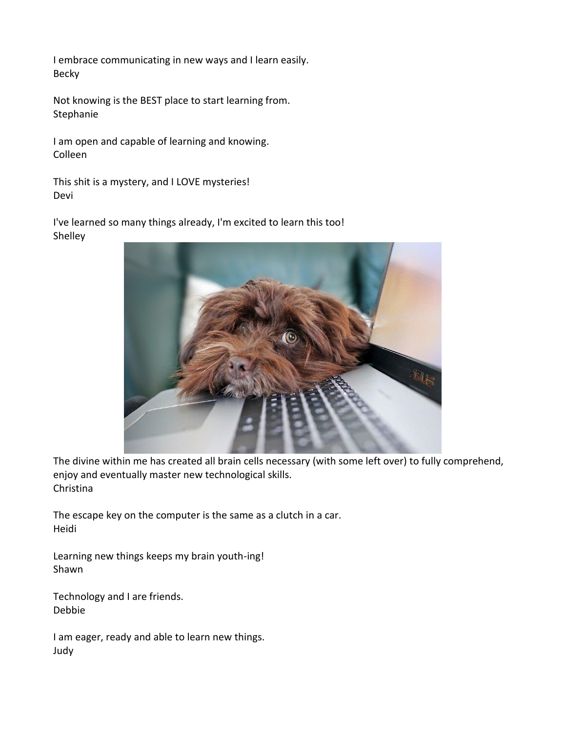I embrace communicating in new ways and I learn easily. Becky

Not knowing is the BEST place to start learning from. Stephanie

I am open and capable of learning and knowing. Colleen

This shit is a mystery, and I LOVE mysteries! Devi

I've learned so many things already, I'm excited to learn this too! Shelley



The divine within me has created all brain cells necessary (with some left over) to fully comprehend, enjoy and eventually master new technological skills. Christina

The escape key on the computer is the same as a clutch in a car. Heidi

Learning new things keeps my brain youth-ing! Shawn

Technology and I are friends. Debbie

I am eager, ready and able to learn new things. Judy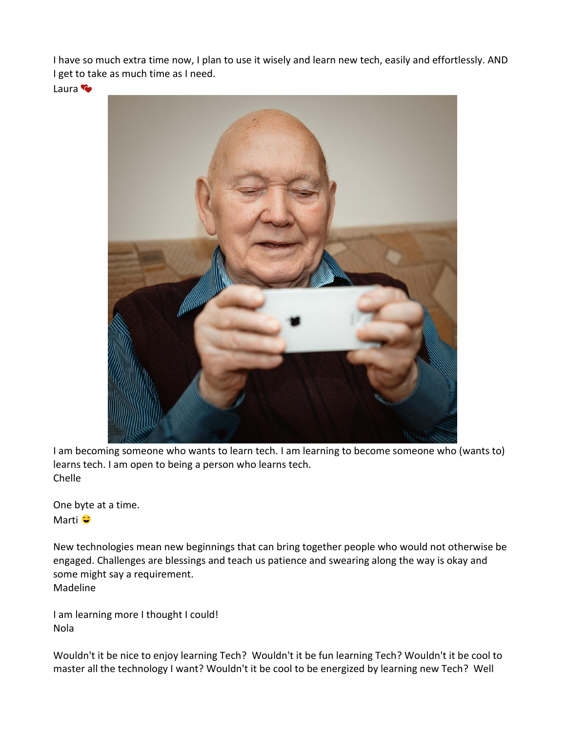I have so much extra time now, I plan to use it wisely and learn new tech, easily and effortlessly. AND I get to take as much time as I need.

Laura<sup>(</sup>



I am becoming someone who wants to learn tech. I am learning to become someone who (wants to) learns tech. I am open to being a person who learns tech. Chelle

One byte at a time. Marti<sup>o</sup>

New technologies mean new beginnings that can bring together people who would not otherwise be engaged. Challenges are blessings and teach us patience and swearing along the way is okay and some might say a requirement. Madeline

I am learning more I thought I could! Nola

Wouldn't it be nice to enjoy learning Tech? Wouldn't it be fun learning Tech? Wouldn't it be cool to master all the technology I want? Wouldn't it be cool to be energized by learning new Tech? Well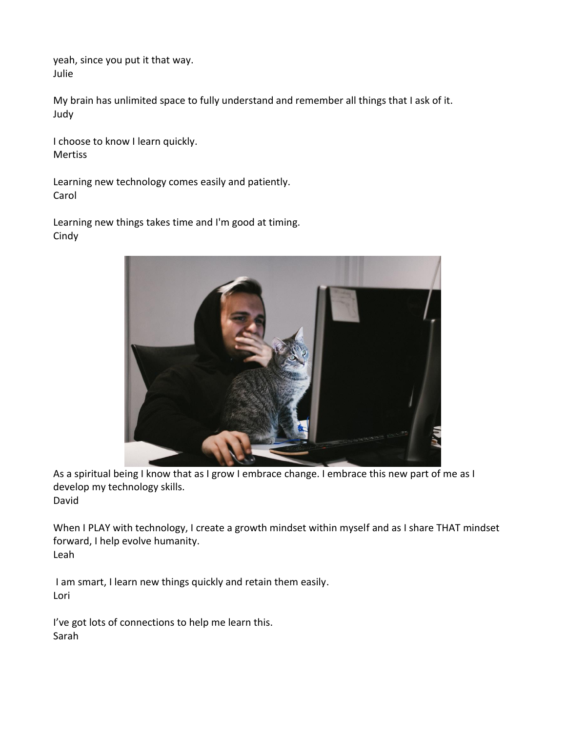yeah, since you put it that way. Julie

My brain has unlimited space to fully understand and remember all things that I ask of it. Judy

I choose to know I learn quickly. Mertiss

Learning new technology comes easily and patiently. Carol

Learning new things takes time and I'm good at timing. **Cindy** 



As a spiritual being I know that as I grow I embrace change. I embrace this new part of me as I develop my technology skills. David

When I PLAY with technology, I create a growth mindset within myself and as I share THAT mindset forward, I help evolve humanity. Leah

I am smart, I learn new things quickly and retain them easily. Lori

I've got lots of connections to help me learn this. Sarah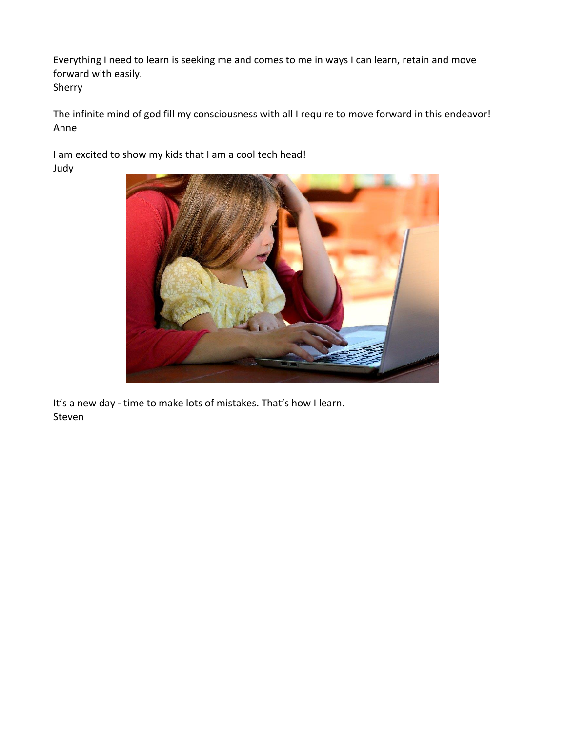Everything I need to learn is seeking me and comes to me in ways I can learn, retain and move forward with easily. Sherry

The infinite mind of god fill my consciousness with all I require to move forward in this endeavor! Anne

I am excited to show my kids that I am a cool tech head! Judy



It's a new day - time to make lots of mistakes. That's how I learn. Steven